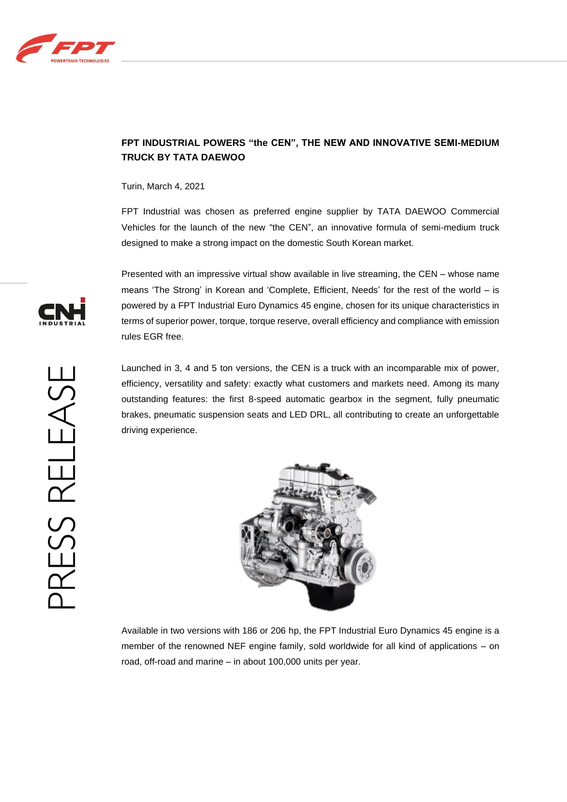

## **FPT INDUSTRIAL POWERS "the CEN", THE NEW AND INNOVATIVE SEMI-MEDIUM TRUCK BY TATA DAEWOO**

Turin, March 4, 2021

FPT Industrial was chosen as preferred engine supplier by TATA DAEWOO Commercial Vehicles for the launch of the new "the CEN", an innovative formula of semi-medium truck designed to make a strong impact on the domestic South Korean market.

Presented with an impressive virtual show available in live streaming, the CEN – whose name means 'The Strong' in Korean and 'Complete, Efficient, Needs' for the rest of the world – is powered by a FPT Industrial Euro Dynamics 45 engine, chosen for its unique characteristics in terms of superior power, torque, torque reserve, overall efficiency and compliance with emission rules EGR free.

Launched in 3, 4 and 5 ton versions, the CEN is a truck with an incomparable mix of power, efficiency, versatility and safety: exactly what customers and markets need. Among its many outstanding features: the first 8-speed automatic gearbox in the segment, fully pneumatic brakes, pneumatic suspension seats and LED DRL, all contributing to create an unforgettable driving experience.



Available in two versions with 186 or 206 hp, the FPT Industrial Euro Dynamics 45 engine is a member of the renowned NEF engine family, sold worldwide for all kind of applications – on road, off-road and marine – in about 100,000 units per year.

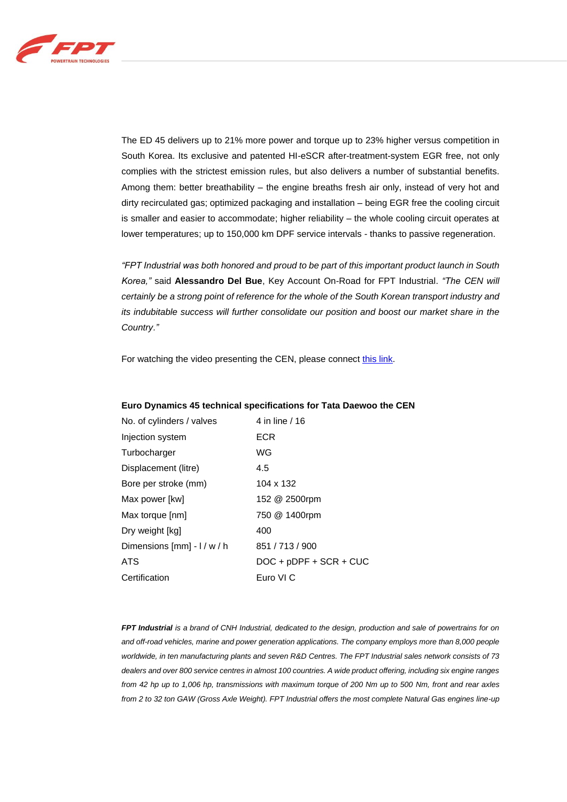

The ED 45 delivers up to 21% more power and torque up to 23% higher versus competition in South Korea. Its exclusive and patented HI-eSCR after-treatment-system EGR free, not only complies with the strictest emission rules, but also delivers a number of substantial benefits. Among them: better breathability – the engine breaths fresh air only, instead of very hot and dirty recirculated gas; optimized packaging and installation – being EGR free the cooling circuit is smaller and easier to accommodate; higher reliability – the whole cooling circuit operates at lower temperatures; up to 150,000 km DPF service intervals - thanks to passive regeneration.

*"FPT Industrial was both honored and proud to be part of this important product launch in South Korea,"* said **Alessandro Del Bue**, Key Account On-Road for FPT Industrial. *"The CEN will certainly be a strong point of reference for the whole of the South Korean transport industry and its indubitable success will further consolidate our position and boost our market share in the Country."*

For watching the video presenting the CEN, please connec[t this link.](https://www.youtube.com/watch?v=t9F70EIltn8)

## **Euro Dynamics 45 technical specifications for Tata Daewoo the CEN**

| No. of cylinders / valves     | 4 in line / 16           |
|-------------------------------|--------------------------|
| Injection system              | ECR                      |
| Turbocharger                  | WG                       |
| Displacement (litre)          | 4.5                      |
| Bore per stroke (mm)          | 104 x 132                |
| Max power [kw]                | 152 @ 2500rpm            |
| Max torque [nm]               | 750 @ 1400rpm            |
| Dry weight [kg]               | 400                      |
| Dimensions $[mm] - l / w / h$ | 851 / 713 / 900          |
| <b>ATS</b>                    | $DOC + pDPF + SCR + CUC$ |
| Certification                 | Euro VI C                |

*FPT Industrial is a brand of CNH Industrial, dedicated to the design, production and sale of powertrains for on and off-road vehicles, marine and power generation applications. The company employs more than 8,000 people worldwide, in ten manufacturing plants and seven R&D Centres. The FPT Industrial sales network consists of 73 dealers and over 800 service centres in almost 100 countries. A wide product offering, including six engine ranges from 42 hp up to 1,006 hp, transmissions with maximum torque of 200 Nm up to 500 Nm, front and rear axles from 2 to 32 ton GAW (Gross Axle Weight). FPT Industrial offers the most complete Natural Gas engines line-up*